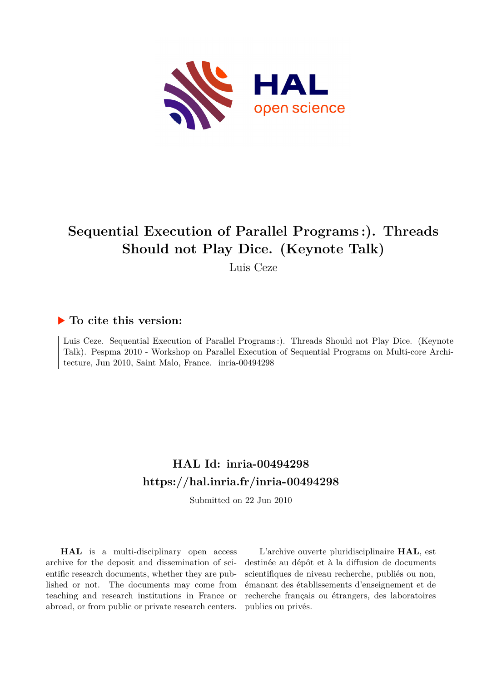

# **Sequential Execution of Parallel Programs :). Threads Should not Play Dice. (Keynote Talk)**

Luis Ceze

### **To cite this version:**

Luis Ceze. Sequential Execution of Parallel Programs :). Threads Should not Play Dice. (Keynote Talk). Pespma 2010 - Workshop on Parallel Execution of Sequential Programs on Multi-core Architecture, Jun 2010, Saint Malo, France. inria-00494298

## **HAL Id: inria-00494298 <https://hal.inria.fr/inria-00494298>**

Submitted on 22 Jun 2010

**HAL** is a multi-disciplinary open access archive for the deposit and dissemination of scientific research documents, whether they are published or not. The documents may come from teaching and research institutions in France or abroad, or from public or private research centers.

L'archive ouverte pluridisciplinaire **HAL**, est destinée au dépôt et à la diffusion de documents scientifiques de niveau recherche, publiés ou non, émanant des établissements d'enseignement et de recherche français ou étrangers, des laboratoires publics ou privés.